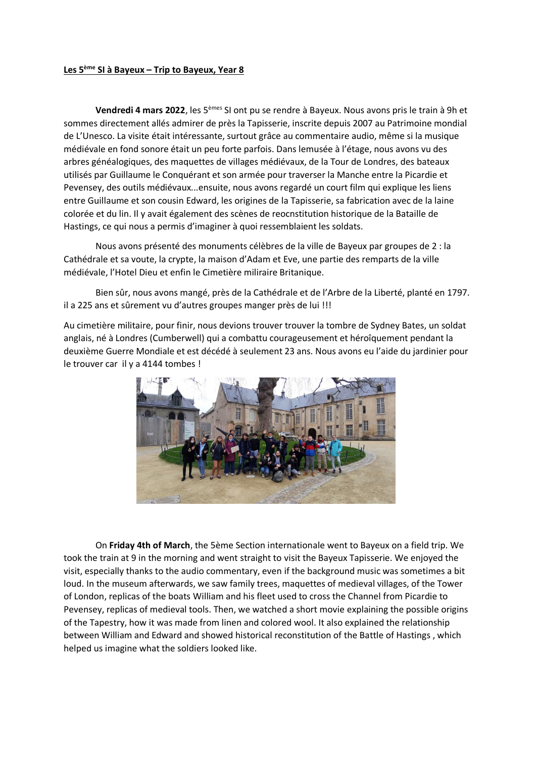## **Les 5ème SI à Bayeux – Trip to Bayeux, Year 8**

**Vendredi 4 mars 2022**, les 5èmes SI ont pu se rendre à Bayeux. Nous avons pris le train à 9h et sommes directement allés admirer de près la Tapisserie, inscrite depuis 2007 au Patrimoine mondial de L'Unesco. La visite était intéressante, surtout grâce au commentaire audio, même si la musique médiévale en fond sonore était un peu forte parfois. Dans lemusée à l'étage, nous avons vu des arbres généalogiques, des maquettes de villages médiévaux, de la Tour de Londres, des bateaux utilisés par Guillaume le Conquérant et son armée pour traverser la Manche entre la Picardie et Pevensey, des outils médiévaux...ensuite, nous avons regardé un court film qui explique les liens entre Guillaume et son cousin Edward, les origines de la Tapisserie, sa fabrication avec de la laine colorée et du lin. Il y avait également des scènes de reocnstitution historique de la Bataille de Hastings, ce qui nous a permis d'imaginer à quoi ressemblaient les soldats.

Nous avons présenté des monuments célèbres de la ville de Bayeux par groupes de 2 : la Cathédrale et sa voute, la crypte, la maison d'Adam et Eve, une partie des remparts de la ville médiévale, l'Hotel Dieu et enfin le Cimetière miliraire Britanique.

Bien sûr, nous avons mangé, près de la Cathédrale et de l'Arbre de la Liberté, planté en 1797. il a 225 ans et sûrement vu d'autres groupes manger près de lui !!!

Au cimetière militaire, pour finir, nous devions trouver trouver la tombre de Sydney Bates, un soldat anglais, né à Londres (Cumberwell) qui a combattu courageusement et héroîquement pendant la deuxième Guerre Mondiale et est décédé à seulement 23 ans. Nous avons eu l'aide du jardinier pour le trouver car il y a 4144 tombes !



On **Friday 4th of March**, the 5ème Section internationale went to Bayeux on a field trip. We took the train at 9 in the morning and went straight to visit the Bayeux Tapisserie. We enjoyed the visit, especially thanks to the audio commentary, even if the background music was sometimes a bit loud. In the museum afterwards, we saw family trees, maquettes of medieval villages, of the Tower of London, replicas of the boats William and his fleet used to cross the Channel from Picardie to Pevensey, replicas of medieval tools. Then, we watched a short movie explaining the possible origins of the Tapestry, how it was made from linen and colored wool. It also explained the relationship between William and Edward and showed historical reconstitution of the Battle of Hastings , which helped us imagine what the soldiers looked like.